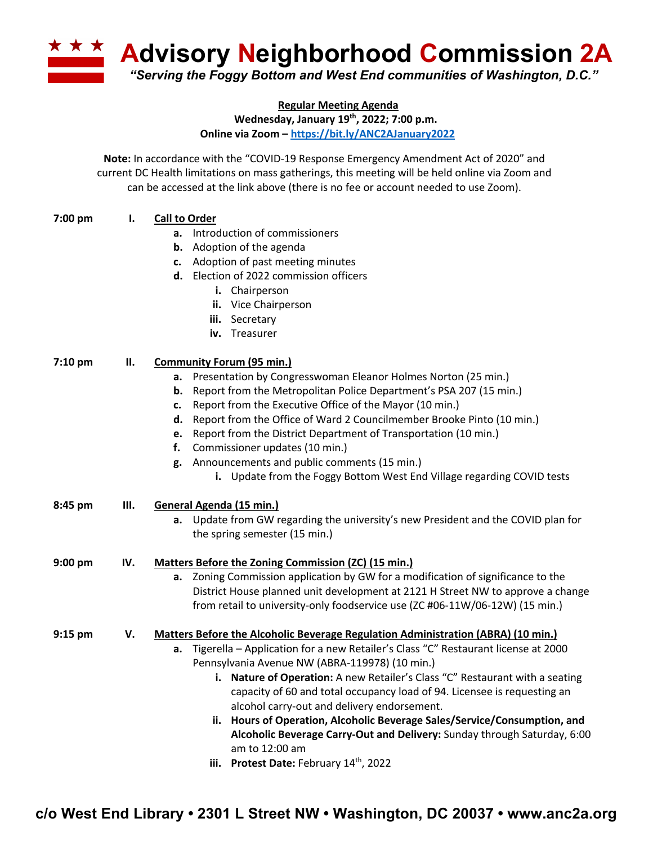

**Regular Meeting Agenda**

**Wednesday, January 19th, 2022; 7:00 p.m.**

**Online via Zoom – https://bit.ly/ANC2AJanuary2022**

**Note:** In accordance with the "COVID-19 Response Emergency Amendment Act of 2020" and current DC Health limitations on mass gatherings, this meeting will be held online via Zoom and can be accessed at the link above (there is no fee or account needed to use Zoom).

## **7:00 pm I. Call to Order**

- **a.** Introduction of commissioners
- **b.** Adoption of the agenda
- **c.** Adoption of past meeting minutes
- **d.** Election of 2022 commission officers
	- **i.** Chairperson
	- **ii.** Vice Chairperson
	- **iii.** Secretary
	- **iv.** Treasurer

## **7:10 pm II. Community Forum (95 min.)**

- **a.** Presentation by Congresswoman Eleanor Holmes Norton (25 min.)
- **b.** Report from the Metropolitan Police Department's PSA 207 (15 min.)
- **c.** Report from the Executive Office of the Mayor (10 min.)
- **d.** Report from the Office of Ward 2 Councilmember Brooke Pinto (10 min.)
- **e.** Report from the District Department of Transportation (10 min.)
- **f.** Commissioner updates (10 min.)
- **g.** Announcements and public comments (15 min.)
	- **i.** Update from the Foggy Bottom West End Village regarding COVID tests

| 8:45 pm | Ш. | General Agenda (15 min.) |  |
|---------|----|--------------------------|--|
|         |    |                          |  |

**a.** Update from GW regarding the university's new President and the COVID plan for the spring semester (15 min.)

## **9:00 pm IV. Matters Before the Zoning Commission (ZC) (15 min.)**

**a.** Zoning Commission application by GW for a modification of significance to the District House planned unit development at 2121 H Street NW to approve a change from retail to university-only foodservice use (ZC #06-11W/06-12W) (15 min.)

## **9:15 pm V. Matters Before the Alcoholic Beverage Regulation Administration (ABRA) (10 min.)**

- **a.** Tigerella Application for a new Retailer's Class "C" Restaurant license at 2000 Pennsylvania Avenue NW (ABRA-119978) (10 min.)
	- **i. Nature of Operation:** A new Retailer's Class "C" Restaurant with a seating capacity of 60 and total occupancy load of 94. Licensee is requesting an alcohol carry-out and delivery endorsement.
	- **ii. Hours of Operation, Alcoholic Beverage Sales/Service/Consumption, and Alcoholic Beverage Carry-Out and Delivery:** Sunday through Saturday, 6:00 am to 12:00 am
	- **iii.** Protest Date: February 14<sup>th</sup>, 2022